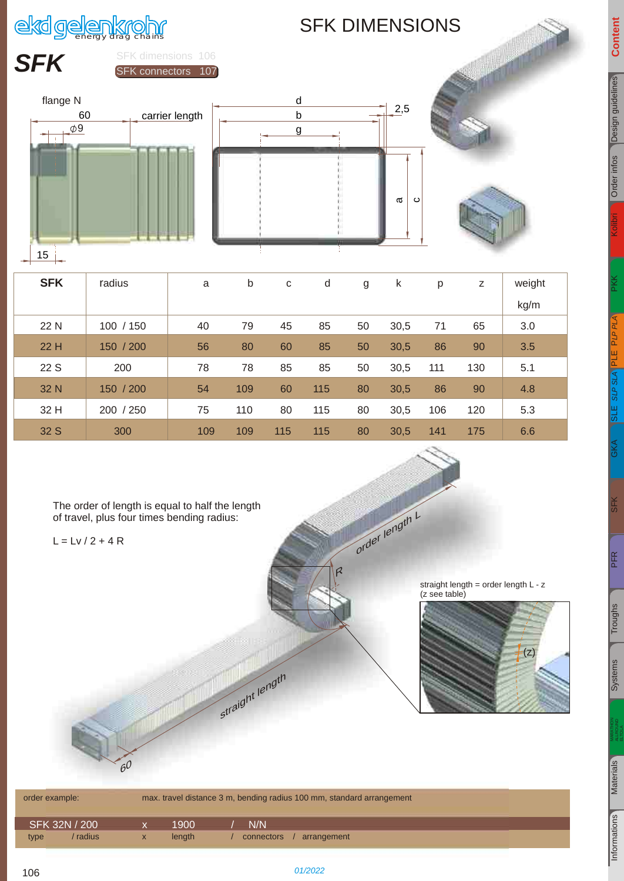

### SFK DIMENSIONS



| <b>SFK</b> | radius    | a   | b   | C   | d   | g  | k    | p   | z   | weight |
|------------|-----------|-----|-----|-----|-----|----|------|-----|-----|--------|
|            |           |     |     |     |     |    |      |     |     | kg/m   |
| 22 N       | 100 / 150 | 40  | 79  | 45  | 85  | 50 | 30,5 | 71  | 65  | 3.0    |
| 22 H       | 150 / 200 | 56  | 80  | 60  | 85  | 50 | 30,5 | 86  | 90  | 3.5    |
| 22 S       | 200       | 78  | 78  | 85  | 85  | 50 | 30,5 | 111 | 130 | 5.1    |
| 32 N       | 150 / 200 | 54  | 109 | 60  | 115 | 80 | 30,5 | 86  | 90  | 4.8    |
| 32 H       | 200 / 250 | 75  | 110 | 80  | 115 | 80 | 30,5 | 106 | 120 | 5.3    |
| 32 S       | 300       | 109 | 109 | 115 | 115 | 80 | 30,5 | 141 | 175 | 6.6    |

The order of length is equal to half the length of travel, plus four times bending radius:

 $L = LV / 2 + 4 R$ 

straight length = order length L - z (z see table)



|      | order example: |   |        | max. travel distance 3 m, bending radius 100 mm, standard arrangement |  |
|------|----------------|---|--------|-----------------------------------------------------------------------|--|
|      | SFK 32N / 200  |   | 1900   | N/N                                                                   |  |
| type | / radius       | X | length | arrangement<br>connectors                                             |  |

strai

 l ght length R

r

order length r

L

 $\lt$ 

 $\overline{\overline{\mathbb{S}}}$ 

[PFR](#page--1-2)

<span id="page-0-1"></span><span id="page-0-0"></span>[106](#page-0-0)